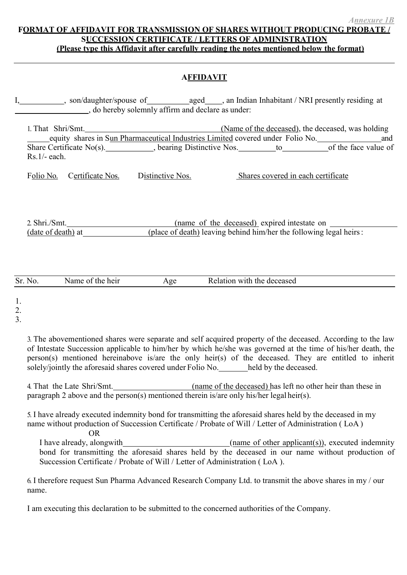## FORMAT OF AFFIDAVIT FOR TRANSMISSION OF SHARES WITHOUT PRODUCING PROBATE SUCCESSION CERTIFICATE / LETTERS OF ADMINISTRATION ( Please type this Affidavit after carefully reading the notes mentioned below the format)

## **AFFIDAVIT**

I, son/daughter/spouse of aged , an Indian Inhabitant / NRI presently residing at , do hereby solemnly affirm and declare as under:

1. That Shri/Smt. 1. That Shri/Smt. 2012 1. That Shri/Smt. equity shares in Sun Pharmaceutical Industries Limited covered under Folio No. and Share Certificate No(s). Share Certificate No(s). Share Certificate No(s). Share Certificate No(s). Rs.1/- each.

Folio No. Certificate Nos. Distinctive Nos. Shares covered in each certificate

2. Shri./Smt. (name of the deceased) expired intestate on (date of death) at (place of death) leaving behind him/her the following legal heirs :

| Sr. No. | heir<br>the<br>οt<br>Name | Age | with<br>deceased<br>the<br>Relation |  |
|---------|---------------------------|-----|-------------------------------------|--|
|         |                           |     |                                     |  |

1.

2.

3.

3. The abovementioned shares were separate and self acquired property of the deceased. According to the law of Intestate Succession applicable to him/her by which he/she was governed at the time of his/her death, the person(s) mentioned hereinabove is/are the only heir(s) of the deceased. They are entitled to inherit solely/jointly the aforesaid shares covered under Folio No. held by the deceased.

4. That the Late Shri/Smt. (name of the deceased) has left no other heir than these in paragraph 2 above and the person(s) mentioned therein is/are only his/her legal heir(s).

5. I have already executed indemnity bond for transmitting the aforesaid shares held by the deceased in my name without production of Succession Certificate / Probate of Will / Letter of Administration ( LoA )

OR

I have already, alongwith (name of other applicant(s)), executed indemnity bond for transmitting the aforesaid shares held by the deceased in our name without production of Succession Certificate / Probate of Will / Letter of Administration ( LoA ).

6. I therefore request Sun Pharma Advanced Research Company Ltd. to transmit the above shares in my / our name.

I am executing this declaration to be submitted to the concerned authorities of the Company.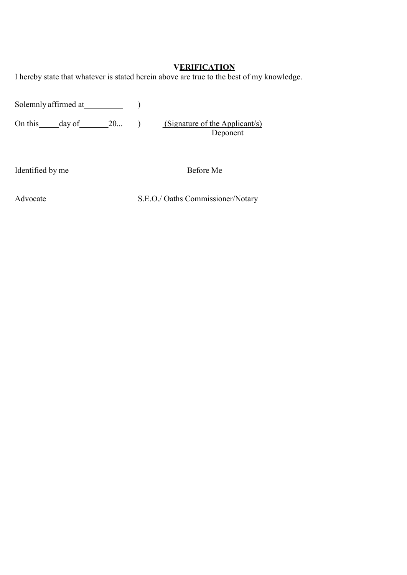## **VERIFICATION**

I hereby state that whatever is stated herein above are true to the best of my knowledge.

Solemnly affirmed at 1997 (1998)

On this day of 20... ) (Signature of the Applicant/s)

Deponent

Identified by me Before Me

Advocate S.E.O./ Oaths Commissioner/Notary